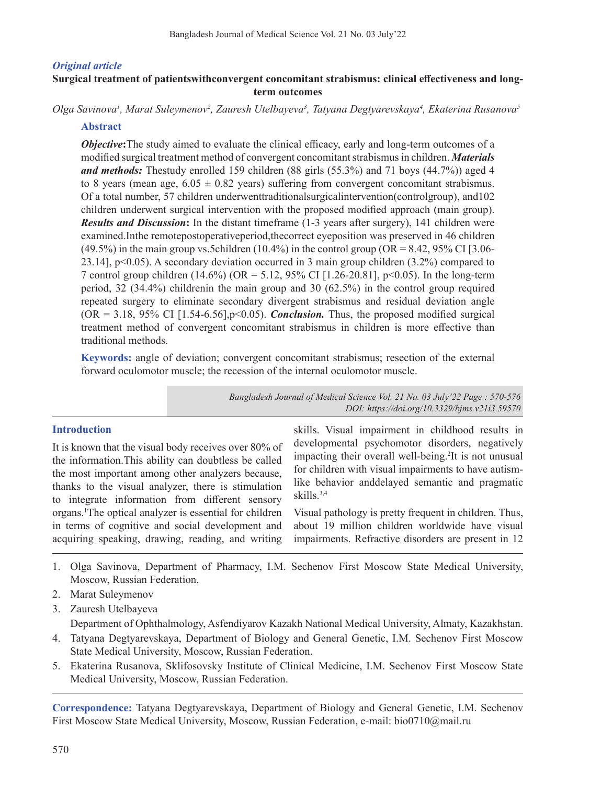## *Original article*

## **Surgical treatment of patientswithconvergent concomitant strabismus: clinical effectiveness and longterm outcomes**

Olga Savinova<sup>1</sup>, Marat Suleymenov<sup>2</sup>, Zauresh Utelbayeva<sup>3</sup>, Tatyana Degtyarevskaya<sup>4</sup>, Ekaterina Rusanova<sup>3</sup>

## **Abstract**

*Objective*:The study aimed to evaluate the clinical efficacy, early and long-term outcomes of a modified surgical treatment method of convergent concomitant strabismus in children. *Materials and methods:* Thestudy enrolled 159 children (88 girls (55.3%) and 71 boys (44.7%)) aged 4 to 8 years (mean age,  $6.05 \pm 0.82$  years) suffering from convergent concomitant strabismus. Of a total number, 57 children underwenttraditionalsurgicalintervention(controlgroup), and102 children underwent surgical intervention with the proposed modified approach (main group). *Results and Discussion***:** In the distant timeframe (1-3 years after surgery), 141 children were examined.Inthe remotepostoperativeperiod,thecorrect eyeposition was preserved in 46 children (49.5%) in the main group vs.5children (10.4%) in the control group (OR = 8.42, 95% CI [3.06-23.14], p<0.05). A secondary deviation occurred in 3 main group children (3.2%) compared to 7 control group children (14.6%) (OR = 5.12, 95% CI [1.26-20.81], p<0.05). In the long-term period, 32 (34.4%) childrenin the main group and 30 (62.5%) in the control group required repeated surgery to eliminate secondary divergent strabismus and residual deviation angle  $(OR = 3.18, 95\% \text{ CI} [1.54-6.56], p<0.05)$ . *Conclusion*. Thus, the proposed modified surgical treatment method of convergent concomitant strabismus in children is more effective than traditional methods.

**Keywords:** angle of deviation; convergent concomitant strabismus; resection of the external forward oculomotor muscle; the recession of the internal oculomotor muscle.

> *Bangladesh Journal of Medical Science Vol. 21 No. 03 July'22 Page : 570-576 DOI: https://doi.org/10.3329/bjms.v21i3.59570*

## **Introduction**

It is known that the visual body receives over 80% of the information.This ability can doubtless be called the most important among other analyzers because, thanks to the visual analyzer, there is stimulation to integrate information from different sensory organs.1 The optical analyzer is essential for children in terms of cognitive and social development and acquiring speaking, drawing, reading, and writing

skills. Visual impairment in childhood results in developmental psychomotor disorders, negatively impacting their overall well-being.<sup>2</sup>It is not unusual for children with visual impairments to have autismlike behavior anddelayed semantic and pragmatic skills.3,4

Visual pathology is pretty frequent in children. Thus, about 19 million children worldwide have visual impairments. Refractive disorders are present in 12

- 1. Olga Savinova, Department of Pharmacy, I.M. Sechenov First Moscow State Medical University, Moscow, Russian Federation.
- 2. Marat Suleymenov
- 3. Zauresh Utelbayeva

 Department of Ophthalmology, Asfendiyarov Kazakh National Medical University, Almaty, Kazakhstan.

- 4. Tatyana Degtyarevskaya, Department of Biology and General Genetic, I.M. Sechenov First Moscow State Medical University, Moscow, Russian Federation.
- 5. Ekaterina Rusanova, Sklifosovsky Institute of Clinical Medicine, I.M. Sechenov First Moscow State Medical University, Moscow, Russian Federation.

**Correspondence:** Tatyana Degtyarevskaya, Department of Biology and General Genetic, I.M. Sechenov First Moscow State Medical University, Moscow, Russian Federation, e-mail: bio0710@mail.ru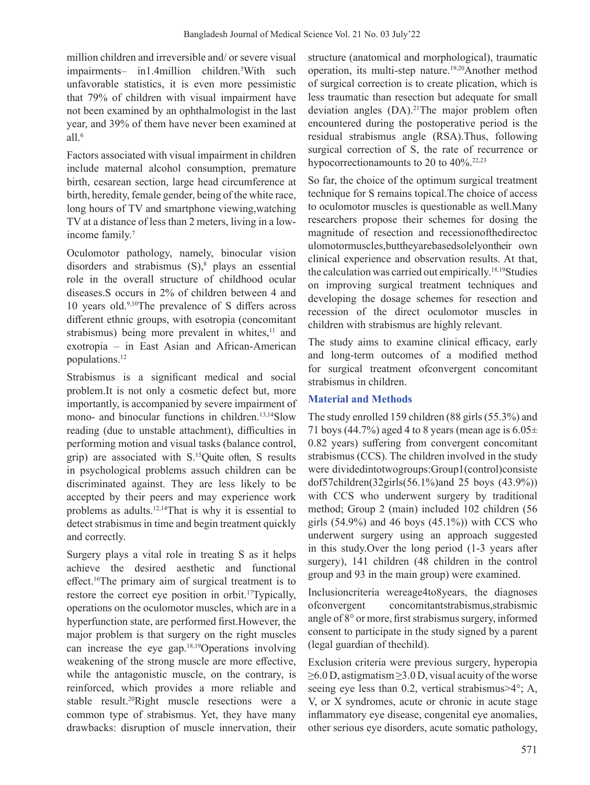million children and irreversible and/ or severe visual impairments– in1.4million children.<sup>5</sup> With such unfavorable statistics, it is even more pessimistic that 79% of children with visual impairment have not been examined by an ophthalmologist in the last year, and 39% of them have never been examined at all.<sup>6</sup>

Factors associated with visual impairment in children include maternal alcohol consumption, premature birth, cesarean section, large head circumference at birth, heredity, female gender, being of the white race, long hours of TV and smartphone viewing,watching TV at a distance of less than 2 meters, living in a lowincome family.<sup>7</sup>

Oculomotor pathology, namely, binocular vision disorders and strabismus  $(S)$ ,<sup>8</sup> plays an essential role in the overall structure of childhood ocular diseases.S occurs in 2% of children between 4 and 10 years old.9,10The prevalence of S differs across different ethnic groups, with esotropia (concomitant strabismus) being more prevalent in whites, $11$  and exotropia – in East Asian and African-American populations.12

Strabismus is a significant medical and social problem.It is not only a cosmetic defect but, more importantly, is accompanied by severe impairment of mono- and binocular functions in children.<sup>13,14</sup>Slow reading (due to unstable attachment), difficulties in performing motion and visual tasks (balance control, grip) are associated with S.15Quite often, S results in psychological problems assuch children can be discriminated against. They are less likely to be accepted by their peers and may experience work problems as adults.12,14That is why it is essential to detect strabismus in time and begin treatment quickly and correctly.

Surgery plays a vital role in treating S as it helps achieve the desired aesthetic and functional effect.16The primary aim of surgical treatment is to restore the correct eye position in orbit.<sup>17</sup>Typically, operations on the oculomotor muscles, which are in a hyperfunction state, are performed first.However, the major problem is that surgery on the right muscles can increase the eye gap.18,19Operations involving weakening of the strong muscle are more effective, while the antagonistic muscle, on the contrary, is reinforced, which provides a more reliable and stable result.20Right muscle resections were a common type of strabismus. Yet, they have many drawbacks: disruption of muscle innervation, their

structure (anatomical and morphological), traumatic operation, its multi-step nature.<sup>19,20</sup>Another method of surgical correction is to create plication, which is less traumatic than resection but adequate for small deviation angles (DA).<sup>21</sup>The major problem often encountered during the postoperative period is the residual strabismus angle (RSA).Thus, following surgical correction of S, the rate of recurrence or hypocorrectionamounts to 20 to 40%.22,23

So far, the choice of the optimum surgical treatment technique for S remains topical.The choice of access to oculomotor muscles is questionable as well.Many researchers propose their schemes for dosing the magnitude of resection and recessionofthedirectoc ulomotormuscles,buttheyarebasedsolelyontheir own clinical experience and observation results. At that, the calculation was carried out empirically.<sup>18,19</sup>Studies on improving surgical treatment techniques and developing the dosage schemes for resection and recession of the direct oculomotor muscles in children with strabismus are highly relevant.

The study aims to examine clinical efficacy, early and long-term outcomes of a modified method for surgical treatment ofconvergent concomitant strabismus in children.

## **Material and Methods**

The study enrolled 159 children (88 girls(55.3%) and 71 boys (44.7%) aged 4 to 8 years (mean age is  $6.05\pm$ 0.82 years) suffering from convergent concomitant strabismus (CCS). The children involved in the study were dividedintotwogroups:Group1(control)consiste dof57children(32girls(56.1%)and 25 boys (43.9%)) with CCS who underwent surgery by traditional method; Group 2 (main) included 102 children (56 girls  $(54.9\%)$  and 46 boys  $(45.1\%)$  with CCS who underwent surgery using an approach suggested in this study.Over the long period (1-3 years after surgery), 141 children (48 children in the control group and 93 in the main group) were examined.

Inclusioncriteria wereage4to8years, the diagnoses ofconvergent concomitantstrabismus,strabismic angle of  $8^\circ$  or more, first strabismus surgery, informed consent to participate in the study signed by a parent (legal guardian of thechild).

Exclusion criteria were previous surgery, hyperopia ≥6.0 D, astigmatism ≥3.0 D, visual acuity of the worse seeing eye less than 0.2, vertical strabismus>4°; A, V, or X syndromes, acute or chronic in acute stage inflammatory eye disease, congenital eye anomalies, other serious eye disorders, acute somatic pathology,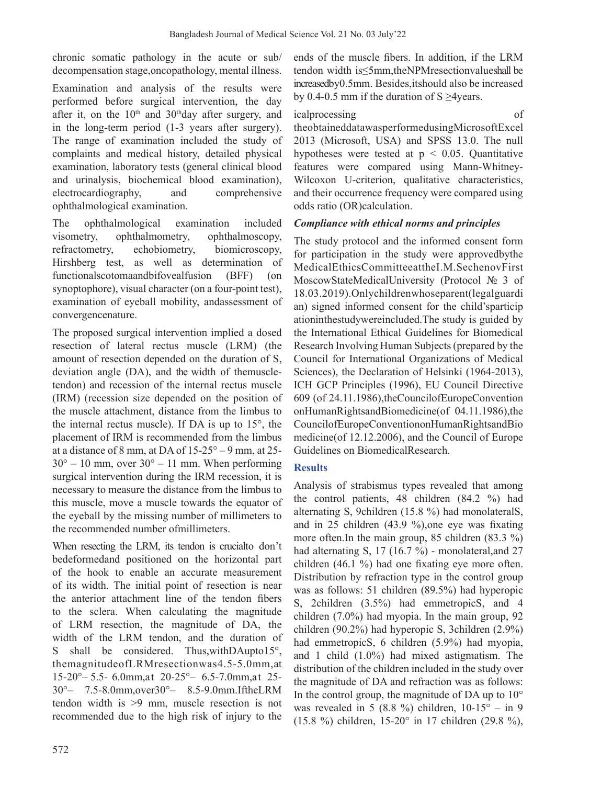chronic somatic pathology in the acute or sub/ decompensation stage,oncopathology, mental illness.

Examination and analysis of the results were performed before surgical intervention, the day after it, on the  $10<sup>th</sup>$  and  $30<sup>th</sup>$ day after surgery, and in the long-term period (1-3 years after surgery). The range of examination included the study of complaints and medical history, detailed physical examination, laboratory tests (general clinical blood and urinalysis, biochemical blood examination), electrocardiography, and comprehensive ophthalmological examination.

The ophthalmological examination included visometry, ophthalmometry, ophthalmoscopy, refractometry, echobiometry, biomicroscopy, Hirshberg test, as well as determination of functionalscotomaandbifovealfusion (BFF) (on synoptophore), visual character (on a four-point test), examination of eyeball mobility, andassessment of convergencenature.

The proposed surgical intervention implied a dosed resection of lateral rectus muscle (LRM) (the amount of resection depended on the duration of S, deviation angle (DA), and the width of themuscletendon) and recession of the internal rectus muscle (IRM) (recession size depended on the position of the muscle attachment, distance from the limbus to the internal rectus muscle). If DA is up to 15°, the placement of IRM is recommended from the limbus at a distance of 8 mm, at DA of  $15-25^{\circ} - 9$  mm, at  $25$ - $30^{\circ} - 10$  mm, over  $30^{\circ} - 11$  mm. When performing surgical intervention during the IRM recession, it is necessary to measure the distance from the limbus to this muscle, move a muscle towards the equator of the eyeball by the missing number of millimeters to the recommended number ofmillimeters.

When resecting the LRM, its tendon is crucialto don't bedeformedand positioned on the horizontal part of the hook to enable an accurate measurement of its width. The initial point of resection is near the anterior attachment line of the tendon fibers to the sclera. When calculating the magnitude of LRM resection, the magnitude of DA, the width of the LRM tendon, and the duration of S shall be considered. Thus, with DAupto15°, themagnitudeofLRMresectionwas4.5-5.0mm,at 15-20°– 5.5- 6.0mm,at 20-25°– 6.5-7.0mm,at 25- 30°– 7.5-8.0mm,over30°– 8.5-9.0mm.IftheLRM tendon width is >9 mm, muscle resection is not recommended due to the high risk of injury to the

572

ends of the muscle fibers. In addition, if the LRM tendon width is≤5mm,theNPMresectionvalueshall be increasedby0.5mm. Besides,itshould also be increased by 0.4-0.5 mm if the duration of S  $\geq$ 4years.

## icalprocessing of

theobtaineddatawasperformedusingMicrosoftExcel 2013 (Microsoft, USA) and SPSS 13.0. The null hypotheses were tested at  $p \leq 0.05$ . Quantitative features were compared using Mann-Whitney-Wilcoxon U-criterion, qualitative characteristics, and their occurrence frequency were compared using odds ratio (OR)calculation.

# *Compliance with ethical norms and principles*

The study protocol and the informed consent form for participation in the study were approvedbythe MedicalEthicsCommitteeattheI.M.SechenovFirst MoscowStateMedicalUniversity (Protocol № 3 of 18.03.2019).Onlychildrenwhoseparent(legalguardi an) signed informed consent for the child'sparticip ationinthestudywereincluded.The study is guided by the International Ethical Guidelines for Biomedical Research Involving Human Subjects(prepared by the Council for International Organizations of Medical Sciences), the Declaration of Helsinki (1964-2013), ICH GCP Principles (1996), EU Council Directive 609 (of 24.11.1986),theCouncilofEuropeConvention onHumanRightsandBiomedicine(of 04.11.1986),the CouncilofEuropeConventiononHumanRightsandBio medicine(of 12.12.2006), and the Council of Europe Guidelines on BiomedicalResearch.

## **Results**

Analysis of strabismus types revealed that among the control patients, 48 children (84.2 %) had alternating S, 9children (15.8 %) had monolateralS, and in 25 children (43.9 %),one eye was fixating more often.In the main group, 85 children (83.3 %) had alternating S, 17 (16.7 %) - monolateral,and 27 children (46.1 %) had one fixating eye more often. Distribution by refraction type in the control group was as follows: 51 children (89.5%) had hyperopic S, 2children (3.5%) had emmetropicS, and 4 children (7.0%) had myopia. In the main group, 92 children (90.2%) had hyperopic S, 3children (2.9%) had emmetropicS, 6 children (5.9%) had myopia, and 1 child (1.0%) had mixed astigmatism. The distribution of the children included in the study over the magnitude of DA and refraction was as follows: In the control group, the magnitude of DA up to  $10^{\circ}$ was revealed in 5 (8.8 %) children,  $10-15^{\circ}$  – in 9 (15.8 %) children, 15-20° in 17 children (29.8 %),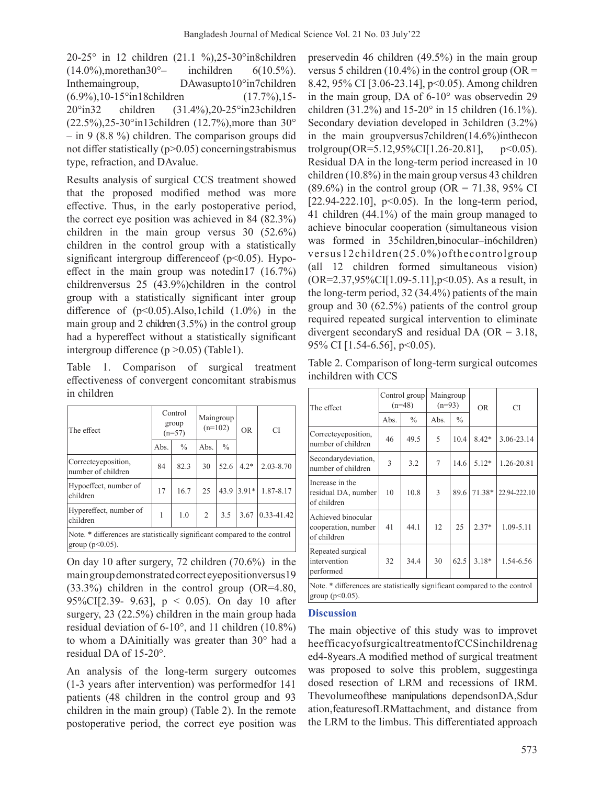20-25° in 12 children (21.1 %),25-30°in8children  $(14.0\%)$ , more than  $30^{\circ}$  inchildren  $6(10.5\%)$ . Inthemaingroup, DAwasupto10°in7children (6.9%),10-15°in18children (17.7%),15- 20°in32 children (31.4%),20-25°in23children (22.5%),25-30°in13children (12.7%),more than 30° – in 9 (8.8 %) children. The comparison groups did not differ statistically  $(p>0.05)$  concerningstrabismus type, refraction, and DAvalue.

Results analysis of surgical CCS treatment showed that the proposed modified method was more effective. Thus, in the early postoperative period, the correct eye position was achieved in 84 (82.3%) children in the main group versus 30 (52.6%) children in the control group with a statistically significant intergroup difference of  $(p<0.05)$ . Hypoeffect in the main group was notedin17 (16.7%) childrenversus 25 (43.9%)children in the control group with a statistically significant inter group difference of  $(p<0.05)$ . Also, 1child  $(1.0\%)$  in the main group and 2 children $(3.5\%)$  in the control group had a hypereffect without a statistically significant intergroup difference  $(p > 0.05)$  (Table1).

Table 1. Comparison of surgical treatment effectiveness of convergent concomitant strabismus in children

| The effect                                                                                       | Control<br>group<br>$(n=57)$ |               | Maingroup<br>$(n=102)$ |               | 0 <sub>R</sub> | <b>CI</b>        |
|--------------------------------------------------------------------------------------------------|------------------------------|---------------|------------------------|---------------|----------------|------------------|
|                                                                                                  | Abs.                         | $\frac{0}{0}$ | Abs.                   | $\frac{0}{0}$ |                |                  |
| Correcteyeposition,<br>number of children                                                        | 84                           | 82.3          | 30                     | 52.6          | $4.2*$         | $2.03 - 8.70$    |
| Hypoeffect, number of<br>children                                                                | 17                           | 16.7          | 25                     |               | $43.9$ 3.91*   | 1.87-8.17        |
| Hypereffect, number of<br>children                                                               | 1                            | 1.0           | 2                      | 3.5           | 3.67           | $ 0.33 - 41.42 $ |
| Note. * differences are statistically significant compared to the control<br>group ( $p<0.05$ ). |                              |               |                        |               |                |                  |

On day 10 after surgery, 72 children (70.6%) in the main group demonstrated correct eyepositionversus19 (33.3%) children in the control group (OR=4.80, 95%CI[2.39- 9.63], p < 0.05). On day 10 after surgery, 23 (22.5%) children in the main group hada residual deviation of 6-10°, and 11 children (10.8%) to whom a DAinitially was greater than 30° had a residual DA of 15-20°.

An analysis of the long-term surgery outcomes (1-3 years after intervention) was performedfor 141 patients (48 children in the control group and 93 children in the main group) (Table 2). In the remote postoperative period, the correct eye position was preservedin 46 children (49.5%) in the main group versus 5 children (10.4%) in the control group (OR = 8.42, 95% CI [3.06-23.14], p<0.05). Among children in the main group, DA of 6-10° was observedin 29 children (31.2%) and 15-20° in 15 children (16.1%). Secondary deviation developed in 3children (3.2%) in the main groupversus7children(14.6%)inthecon trolgroup( $OR = 5.12,95\%$ CI[1.26-20.81], p<0.05). Residual DA in the long-term period increased in 10 children (10.8%) in the main group versus 43 children  $(89.6\%)$  in the control group (OR = 71.38, 95% CI [22.94-222.10],  $p<0.05$ ). In the long-term period, 41 children (44.1%) of the main group managed to achieve binocular cooperation (simultaneous vision was formed in 35children,binocular–in6children) versus12children(25.0%)ofthecontrolgroup (all 12 children formed simultaneous vision) (OR=2.37,95%CI[1.09-5.11],p<0.05). As a result, in the long-term period, 32 (34.4%) patients of the main group and 30 (62.5%) patients of the control group required repeated surgical intervention to eliminate divergent secondaryS and residual DA (OR = 3.18, 95% CI [1.54-6.56], p<0.05).

Table 2. Comparison of long-term surgical outcomes inchildren with CCS

| The effect                                                                                       | Control group<br>$(n=48)$ |               | Maingroup<br>$(n=93)$ |               | <b>OR</b> | CI           |  |  |  |
|--------------------------------------------------------------------------------------------------|---------------------------|---------------|-----------------------|---------------|-----------|--------------|--|--|--|
|                                                                                                  | Abs.                      | $\frac{0}{0}$ | Abs.                  | $\frac{0}{0}$ |           |              |  |  |  |
| Correcteyeposition,<br>number of children                                                        | 46                        | 49.5          | 5                     | 10.4          | $8.42*$   | 3.06-23.14   |  |  |  |
| Secondary deviation,<br>number of children                                                       | $\mathcal{L}$             | 3.2           | 7                     | 14.6          | $5.12*$   | 1.26-20.81   |  |  |  |
| Increase in the<br>residual DA, number<br>of children                                            | 10                        | 10.8          | 3                     | 89.6          | 71.38*    | 22.94-222.10 |  |  |  |
| Achieved binocular<br>cooperation, number<br>of children                                         | 41                        | 44.1          | 12                    | 25            | $2.37*$   | 1.09-5.11    |  |  |  |
| Repeated surgical<br>intervention<br>performed                                                   | 32                        | 34.4          | 30                    | 62.5          | $3.18*$   | 1.54-6.56    |  |  |  |
| Note. * differences are statistically significant compared to the control<br>group ( $p<0.05$ ). |                           |               |                       |               |           |              |  |  |  |

#### **Discussion**

The main objective of this study was to improvet heefficacyofsurgicaltreatmentofCCSinchildrenag ed4-8years.A modified method of surgical treatment was proposed to solve this problem, suggestinga dosed resection of LRM and recessions of IRM. Thevolumeofthese manipulations dependsonDA,Sdur ation,featuresofLRMattachment, and distance from the LRM to the limbus. This differentiated approach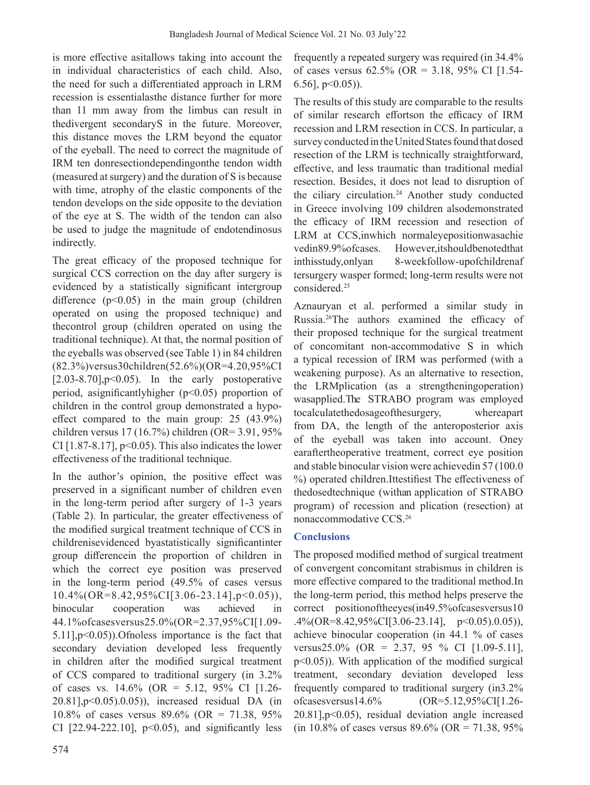is more effective asitallows taking into account the in individual characteristics of each child. Also, the need for such a differentiated approach in LRM recession is essentialasthe distance further for more than 11 mm away from the limbus can result in thedivergent secondaryS in the future. Moreover, this distance moves the LRM beyond the equator of the eyeball. The need to correct the magnitude of IRM ten donresectiondependingonthe tendon width (measured at surgery) and the duration of S is because with time, atrophy of the elastic components of the tendon develops on the side opposite to the deviation of the eye at S. The width of the tendon can also be used to judge the magnitude of endotendinosus indirectly.

The great efficacy of the proposed technique for surgical CCS correction on the day after surgery is evidenced by a statistically significant intergroup difference  $(p<0.05)$  in the main group (children operated on using the proposed technique) and thecontrol group (children operated on using the traditional technique). At that, the normal position of the eyeballs was observed (see Table 1) in 84 children (82.3%)versus30children(52.6%)(OR=4.20,95%CI  $[2.03-8.70]$ ,  $p<0.05$ ). In the early postoperative period, asignificantly higher ( $p$ <0.05) proportion of children in the control group demonstrated a hypoeffect compared to the main group: 25 (43.9%) children versus 17 (16.7%) children (OR= 3.91, 95% CI  $[1.87-8.17]$ , p<0.05). This also indicates the lower effectiveness of the traditional technique.

In the author's opinion, the positive effect was preserved in a significant number of children even in the long-term period after surgery of 1-3 years (Table 2). In particular, the greater effectiveness of the modified surgical treatment technique of CCS in childrenisevidenced byastatistically significantinter group differencein the proportion of children in which the correct eye position was preserved in the long-term period (49.5% of cases versus 10.4%(OR=8.42,95%CI[3.06-23.14],p<0.05)), binocular cooperation was achieved in 44.1%ofcasesversus25.0%(OR=2.37,95%CI[1.09- 5.11],p<0.05)).Ofnoless importance is the fact that secondary deviation developed less frequently in children after the modified surgical treatment of CCS compared to traditional surgery (in 3.2% of cases vs.  $14.6\%$  (OR = 5.12, 95% CI [1.26-20.81],p<0.05).0.05)), increased residual DA (in 10.8% of cases versus 89.6% (OR = 71.38, 95% CI [22.94-222.10],  $p<0.05$ ), and significantly less

frequently a repeated surgery was required (in 34.4% of cases versus  $62.5\%$  (OR = 3.18, 95% CI [1.54- $6.56$ ],  $p<0.05$ )).

The results of this study are comparable to the results of similar research effortson the efficacy of IRM recession and LRM resection in CCS. In particular, a survey conducted in the United States found that dosed resection of the LRM is technically straightforward, effective, and less traumatic than traditional medial resection. Besides, it does not lead to disruption of the ciliary circulation.<sup>24</sup> Another study conducted in Greece involving 109 children alsodemonstrated the efficacy of IRM recession and resection of LRM at CCS,inwhich normaleyepositionwasachie vedin89.9%ofcases. However,itshouldbenotedthat inthisstudy,onlyan 8-weekfollow-upofchildrenaf tersurgery wasper formed; long-term results were not considered.25

Aznauryan et al. performed a similar study in Russia.26The authors examined the efficacy of their proposed technique for the surgical treatment of concomitant non-accommodative S in which a typical recession of IRM was performed (with a weakening purpose). As an alternative to resection, the LRMplication (as a strengtheningoperation) wasapplied.The STRABO program was employed tocalculatethedosageofthesurgery, whereapart from DA, the length of the anteroposterior axis of the eyeball was taken into account. Oney earaftertheoperative treatment, correct eye position and stable binocular vision were achievedin 57 (100.0 %) operated children.Ittestifiest The effectiveness of thedosedtechnique (withan application of STRABO program) of recession and plication (resection) at nonaccommodative CCS.<sup>26</sup>

## **Conclusions**

The proposed modified method of surgical treatment of convergent concomitant strabismus in children is more effective compared to the traditional method.In the long-term period, this method helps preserve the correct positionoftheeyes(in49.5%ofcasesversus10 .4%(OR=8.42,95%CI[3.06-23.14], p<0.05).0.05)), achieve binocular cooperation (in 44.1 % of cases versus25.0% (OR = 2.37, 95 % CI  $[1.09-5.11]$ , p<0.05)). With application of the modified surgical treatment, secondary deviation developed less frequently compared to traditional surgery (in3.2% ofcasesversus14.6% (OR=5.12,95%CI[1.26- 20.81],p<0.05), residual deviation angle increased (in 10.8% of cases versus 89.6% (OR = 71.38, 95%)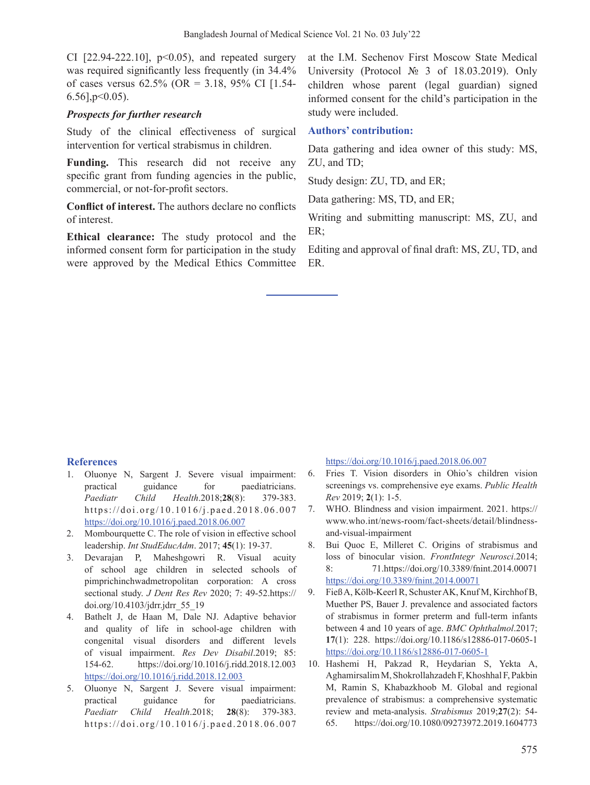CI  $[22.94-222.10]$ ,  $p<0.05$ ), and repeated surgery was required significantly less frequently (in 34.4% of cases versus  $62.5\%$  (OR = 3.18, 95% CI [1.54- $6.56$ ],  $p<0.05$ ).

## *Prospects for further research*

Study of the clinical effectiveness of surgical intervention for vertical strabismus in children.

**Funding.** This research did not receive any specific grant from funding agencies in the public, commercial, or not-for-profit sectors.

**Conflict of interest.** The authors declare no conflicts of interest.

**Ethical clearance:** The study protocol and the informed consent form for participation in the study were approved by the Medical Ethics Committee

at the I.M. Sechenov First Moscow State Medical University (Protocol № 3 of 18.03.2019). Only children whose parent (legal guardian) signed informed consent for the child's participation in the study were included.

## **Authors' contribution:**

Data gathering and idea owner of this study: MS, ZU, and TD;

Study design: ZU, TD, and ER;

Data gathering: MS, TD, and ER;

Writing and submitting manuscript: MS, ZU, and ER;

Editing and approval of final draft: MS, ZU, TD, and ER.

## **References**

- 1. Oluonye N, Sargent J. Severe visual impairment: practical guidance for paediatricians. *Paediatr Child Health*.2018;**28**(8): 379-383. https://doi.org/10.1016/j.paed.2018.06.007 https://doi.org/10.1016/j.paed.2018.06.007
- 2. Mombourquette C. The role of vision in effective school leadership. *Int StudEducAdm*. 2017; **45**(1): 19-37.
- 3. Devarajan P, Maheshgowri R. Visual acuity of school age children in selected schools of pimprichinchwadmetropolitan corporation: A cross sectional study. *J Dent Res Rev* 2020; 7: 49-52.https:// doi.org/10.4103/jdrr.jdrr\_55\_19
- 4. Bathelt J, de Haan M, Dale NJ. Adaptive behavior and quality of life in school-age children with congenital visual disorders and different levels of visual impairment. *Res Dev Disabil*.2019; 85: 154-62. https://doi.org/10.1016/j.ridd.2018.12.003 https://doi.org/10.1016/j.ridd.2018.12.003
- 5. Oluonye N, Sargent J. Severe visual impairment: practical guidance for paediatricians. *Paediatr Child Health*.2018; **28**(8): 379-383. https://doi.org/10.1016/j.paed.2018.06.007

https://doi.org/10.1016/j.paed.2018.06.007

- 6. Fries T. Vision disorders in Ohio's children vision screenings vs. comprehensive eye exams. *Public Health Rev* 2019; **2**(1): 1-5.
- 7. WHO. Blindness and vision impairment. 2021. https:// www.who.int/news-room/fact-sheets/detail/blindnessand-visual-impairment
- 8. Bui Quoc E, Milleret C. Origins of strabismus and loss of binocular vision. *FrontIntegr Neurosci*.2014; 8: 71.https://doi.org/10.3389/fnint.2014.00071 https://doi.org/10.3389/fnint.2014.00071
- 9. Fieß A, Kölb-Keerl R, Schuster AK, Knuf M, Kirchhof B, Muether PS, Bauer J. prevalence and associated factors of strabismus in former preterm and full-term infants between 4 and 10 years of age. *BMC Ophthalmol*.2017; **17**(1): 228. https://doi.org/10.1186/s12886-017-0605-1 https://doi.org/10.1186/s12886-017-0605-1
- 10. Hashemi H, Pakzad R, Heydarian S, Yekta A, AghamirsalimM, ShokrollahzadehF,Khoshhal F, Pakbin M, Ramin S, Khabazkhoob M. Global and regional prevalence of strabismus: a comprehensive systematic review and meta-analysis. *Strabismus* 2019;**27**(2): 54- 65. https://doi.org/10.1080/09273972.2019.1604773